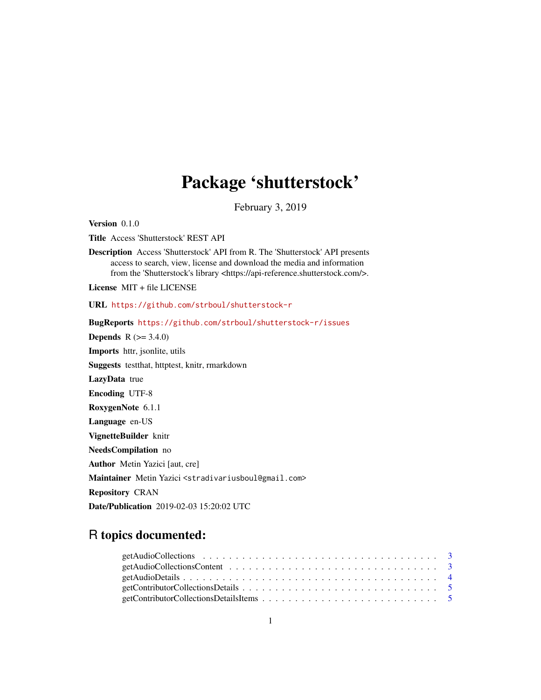# Package 'shutterstock'

February 3, 2019

Version 0.1.0

Title Access 'Shutterstock' REST API

Description Access 'Shutterstock' API from R. The 'Shutterstock' API presents access to search, view, license and download the media and information from the 'Shutterstock's library <https://api-reference.shutterstock.com/>.

License MIT + file LICENSE

URL <https://github.com/strboul/shutterstock-r>

BugReports <https://github.com/strboul/shutterstock-r/issues>

**Depends** R  $(>= 3.4.0)$ 

Imports httr, jsonlite, utils

Suggests testthat, httptest, knitr, rmarkdown

LazyData true

Encoding UTF-8

RoxygenNote 6.1.1

Language en-US

VignetteBuilder knitr

NeedsCompilation no

Author Metin Yazici [aut, cre]

Maintainer Metin Yazici <stradivariusboul@gmail.com>

Repository CRAN

Date/Publication 2019-02-03 15:20:02 UTC

# R topics documented: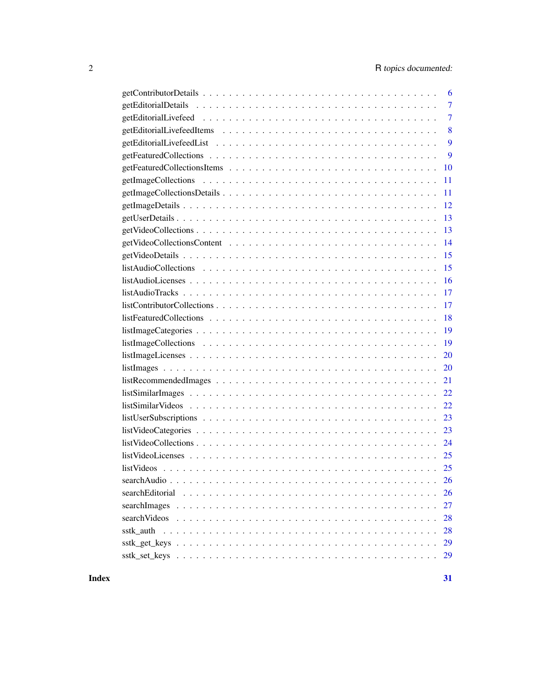| 6              |
|----------------|
| $\overline{7}$ |
| $\overline{7}$ |
| 8              |
| 9              |
| 9              |
| 10             |
| 11             |
| 11             |
| 12             |
| 13             |
| 13             |
| 14             |
| 15             |
| 15             |
| 16             |
| 17             |
| 17             |
| 18             |
| 19             |
| 19             |
| 20             |
| 20             |
| 21             |
|                |
|                |
|                |
| 23             |
|                |
|                |
|                |
|                |
| <b>26</b>      |
| 27             |
| 28             |
| 28             |
| 29             |
| 29             |

**Index** [31](#page-30-0)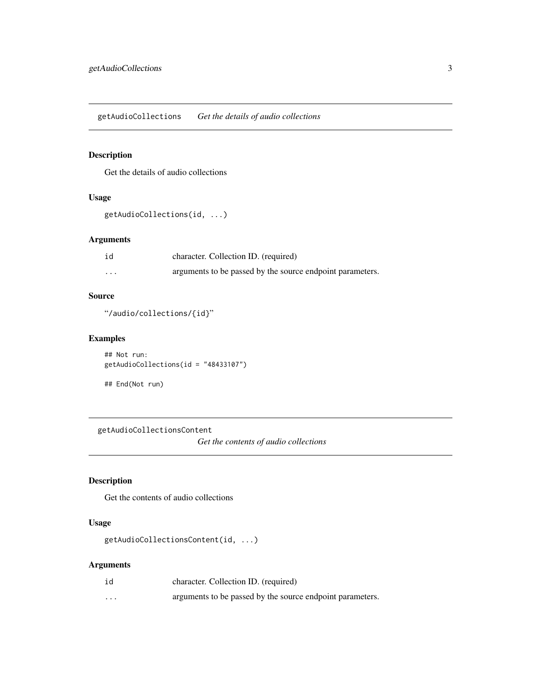<span id="page-2-0"></span>getAudioCollections *Get the details of audio collections*

# Description

Get the details of audio collections

#### Usage

```
getAudioCollections(id, ...)
```
#### Arguments

| id       | character. Collection ID. (required)                      |
|----------|-----------------------------------------------------------|
| $\cdots$ | arguments to be passed by the source endpoint parameters. |

## Source

"/audio/collections/{id}"

## Examples

```
## Not run:
getAudioCollections(id = "48433107")
```

```
## End(Not run)
```
getAudioCollectionsContent

*Get the contents of audio collections*

## Description

Get the contents of audio collections

## Usage

```
getAudioCollectionsContent(id, ...)
```
## Arguments

| id       | character. Collection ID. (required)                      |
|----------|-----------------------------------------------------------|
| $\cdots$ | arguments to be passed by the source endpoint parameters. |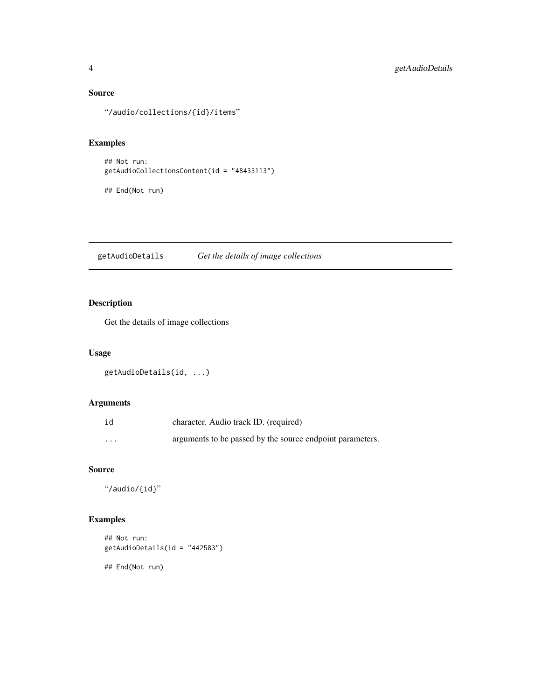## <span id="page-3-0"></span>Source

"/audio/collections/{id}/items"

## Examples

```
## Not run:
getAudioCollectionsContent(id = "48433113")
```
## End(Not run)

getAudioDetails *Get the details of image collections*

# Description

Get the details of image collections

## Usage

```
getAudioDetails(id, ...)
```
## Arguments

| id       | character. Audio track ID. (required)                     |
|----------|-----------------------------------------------------------|
| $\cdots$ | arguments to be passed by the source endpoint parameters. |

#### Source

"/audio/{id}"

# Examples

```
## Not run:
getAudioDetails(id = "442583")
## End(Not run)
```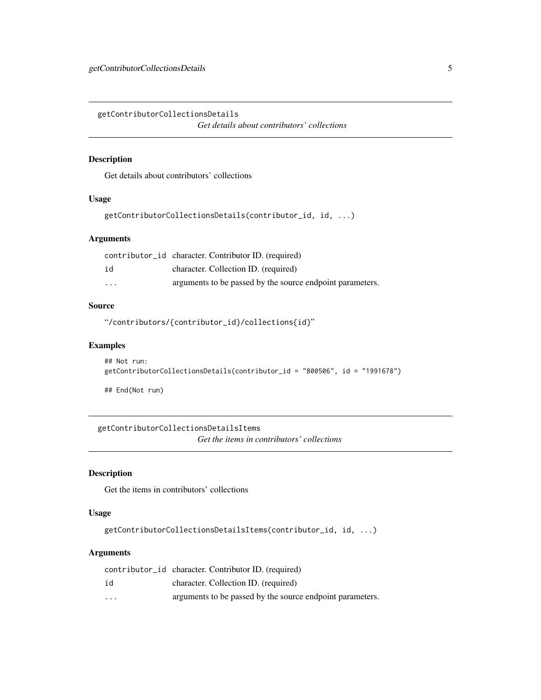<span id="page-4-0"></span>getContributorCollectionsDetails *Get details about contributors' collections*

#### Description

Get details about contributors' collections

#### Usage

```
getContributorCollectionsDetails(contributor_id, id, ...)
```
## Arguments

|                         | contributor_id character. Contributor ID. (required)      |
|-------------------------|-----------------------------------------------------------|
| id                      | character. Collection ID. (required)                      |
| $\cdot$ $\cdot$ $\cdot$ | arguments to be passed by the source endpoint parameters. |

#### Source

"/contributors/{contributor\_id}/collections{id}"

#### Examples

```
## Not run:
getContributorCollectionsDetails(contributor_id = "800506", id = "1991678")
```
## End(Not run)

getContributorCollectionsDetailsItems *Get the items in contributors' collections*

## Description

Get the items in contributors' collections

#### Usage

getContributorCollectionsDetailsItems(contributor\_id, id, ...)

#### Arguments

|          | contributor_id character. Contributor ID. (required)      |
|----------|-----------------------------------------------------------|
| id       | character. Collection ID. (required)                      |
| $\cdots$ | arguments to be passed by the source endpoint parameters. |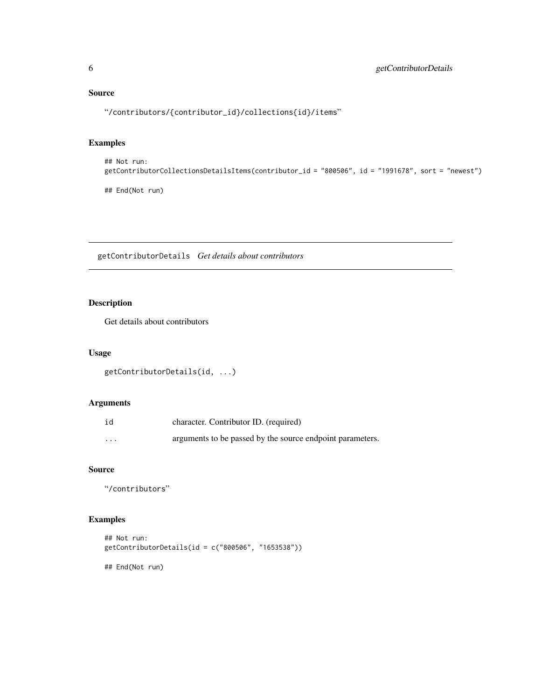## <span id="page-5-0"></span>Source

"/contributors/{contributor\_id}/collections{id}/items"

## Examples

```
## Not run:
getContributorCollectionsDetailsItems(contributor_id = "800506", id = "1991678", sort = "newest")
```
## End(Not run)

getContributorDetails *Get details about contributors*

# Description

Get details about contributors

#### Usage

```
getContributorDetails(id, ...)
```
#### Arguments

| id       | character. Contributor ID. (required)                     |
|----------|-----------------------------------------------------------|
| $\cdots$ | arguments to be passed by the source endpoint parameters. |

#### Source

"/contributors"

# Examples

```
## Not run:
getContributorDetails(id = c("800506", "1653538"))
## End(Not run)
```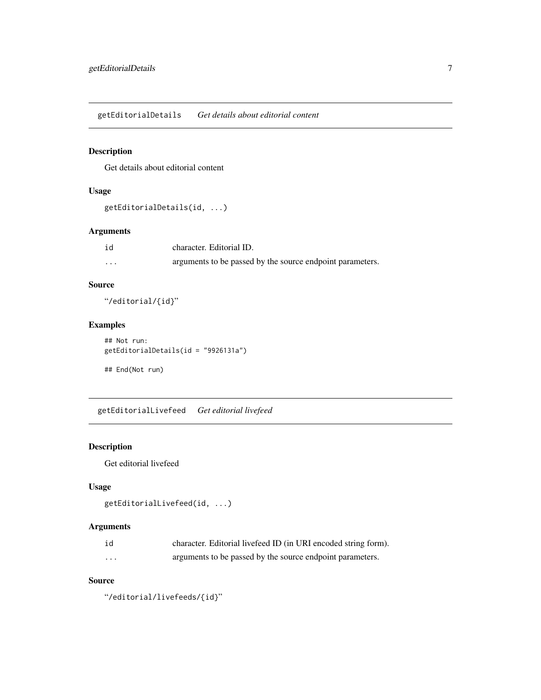<span id="page-6-0"></span>getEditorialDetails *Get details about editorial content*

# Description

Get details about editorial content

## Usage

```
getEditorialDetails(id, ...)
```
## Arguments

| id | character. Editorial ID.                                  |
|----|-----------------------------------------------------------|
| .  | arguments to be passed by the source endpoint parameters. |

## Source

"/editorial/{id}"

## Examples

## Not run: getEditorialDetails(id = "9926131a")

## End(Not run)

getEditorialLivefeed *Get editorial livefeed*

## Description

Get editorial livefeed

# Usage

```
getEditorialLivefeed(id, ...)
```
## Arguments

| id | character. Editorial livefeed ID (in URI encoded string form). |
|----|----------------------------------------------------------------|
| .  | arguments to be passed by the source endpoint parameters.      |

#### Source

"/editorial/livefeeds/{id}"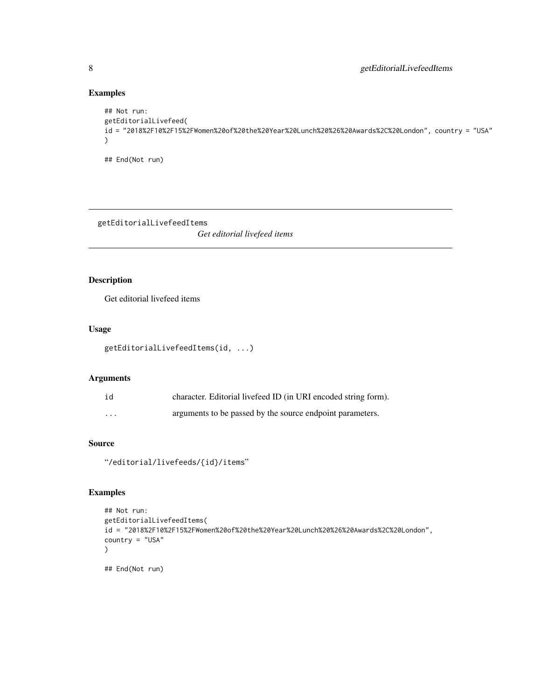# Examples

```
## Not run:
getEditorialLivefeed(
id = "2018%2F10%2F15%2FWomen%20of%20the%20Year%20Lunch%20%26%20Awards%2C%20London", country = "USA"
\lambda
```
## End(Not run)

getEditorialLivefeedItems

*Get editorial livefeed items*

## Description

Get editorial livefeed items

#### Usage

```
getEditorialLivefeedItems(id, ...)
```
## Arguments

| id       | character. Editorial livefeed ID (in URI encoded string form). |
|----------|----------------------------------------------------------------|
| $\cdots$ | arguments to be passed by the source endpoint parameters.      |

## Source

"/editorial/livefeeds/{id}/items"

#### Examples

```
## Not run:
getEditorialLivefeedItems(
id = "2018%2F10%2F15%2FWomen%20of%20the%20Year%20Lunch%20%26%20Awards%2C%20London",
country = "USA"
)
## End(Not run)
```
<span id="page-7-0"></span>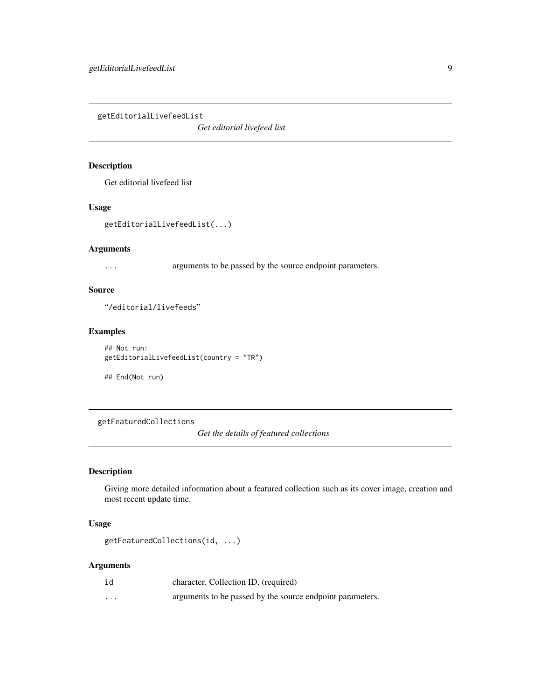<span id="page-8-0"></span>getEditorialLivefeedList

*Get editorial livefeed list*

#### Description

Get editorial livefeed list

#### Usage

getEditorialLivefeedList(...)

#### Arguments

... arguments to be passed by the source endpoint parameters.

## Source

"/editorial/livefeeds"

#### Examples

```
## Not run:
getEditorialLivefeedList(country = "TR")
```

```
## End(Not run)
```
getFeaturedCollections

*Get the details of featured collections*

## Description

Giving more detailed information about a featured collection such as its cover image, creation and most recent update time.

#### Usage

```
getFeaturedCollections(id, ...)
```
## Arguments

| id                | character. Collection ID. (required)                      |
|-------------------|-----------------------------------------------------------|
| $\cdot\cdot\cdot$ | arguments to be passed by the source endpoint parameters. |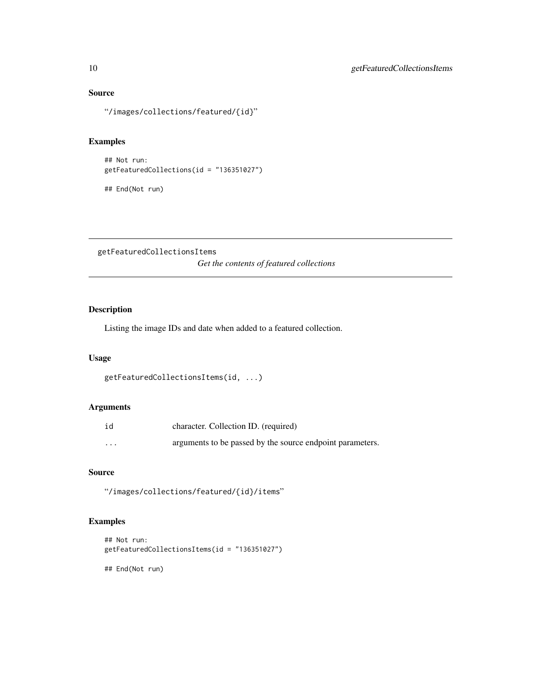# <span id="page-9-0"></span>Source

"/images/collections/featured/{id}"

# Examples

```
## Not run:
getFeaturedCollections(id = "136351027")
```
## End(Not run)

getFeaturedCollectionsItems

*Get the contents of featured collections*

## Description

Listing the image IDs and date when added to a featured collection.

#### Usage

```
getFeaturedCollectionsItems(id, ...)
```
#### Arguments

| id       | character. Collection ID. (required)                      |
|----------|-----------------------------------------------------------|
| $\cdots$ | arguments to be passed by the source endpoint parameters. |

# Source

"/images/collections/featured/{id}/items"

# Examples

```
## Not run:
getFeaturedCollectionsItems(id = "136351027")
```
## End(Not run)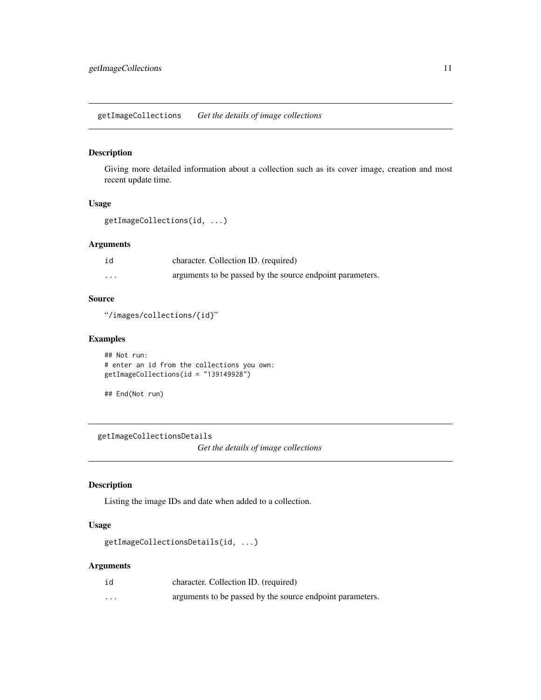<span id="page-10-0"></span>getImageCollections *Get the details of image collections*

#### Description

Giving more detailed information about a collection such as its cover image, creation and most recent update time.

#### Usage

```
getImageCollections(id, ...)
```
#### Arguments

| id       | character. Collection ID. (required)                      |
|----------|-----------------------------------------------------------|
| $\cdots$ | arguments to be passed by the source endpoint parameters. |

#### Source

"/images/collections/{id}"

## Examples

```
## Not run:
# enter an id from the collections you own:
getImageCollections(id = "139149928")
```

```
## End(Not run)
```
getImageCollectionsDetails *Get the details of image collections*

#### Description

Listing the image IDs and date when added to a collection.

## Usage

```
getImageCollectionsDetails(id, ...)
```
#### Arguments

| id       | character. Collection ID. (required)                      |
|----------|-----------------------------------------------------------|
| $\cdots$ | arguments to be passed by the source endpoint parameters. |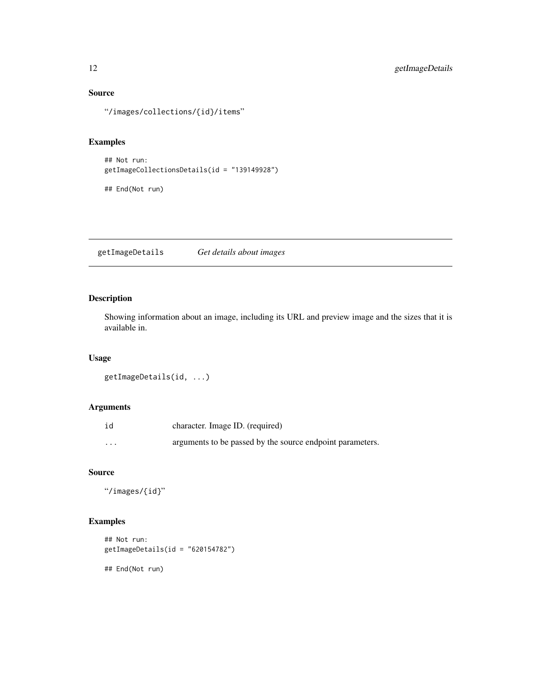# Source

"/images/collections/{id}/items"

## Examples

```
## Not run:
getImageCollectionsDetails(id = "139149928")
```
## End(Not run)

getImageDetails *Get details about images*

## Description

Showing information about an image, including its URL and preview image and the sizes that it is available in.

## Usage

```
getImageDetails(id, ...)
```
## Arguments

| id       | character. Image ID. (required)                           |
|----------|-----------------------------------------------------------|
| $\cdots$ | arguments to be passed by the source endpoint parameters. |

## Source

"/images/{id}"

# Examples

```
## Not run:
getImageDetails(id = "620154782")
```
## End(Not run)

<span id="page-11-0"></span>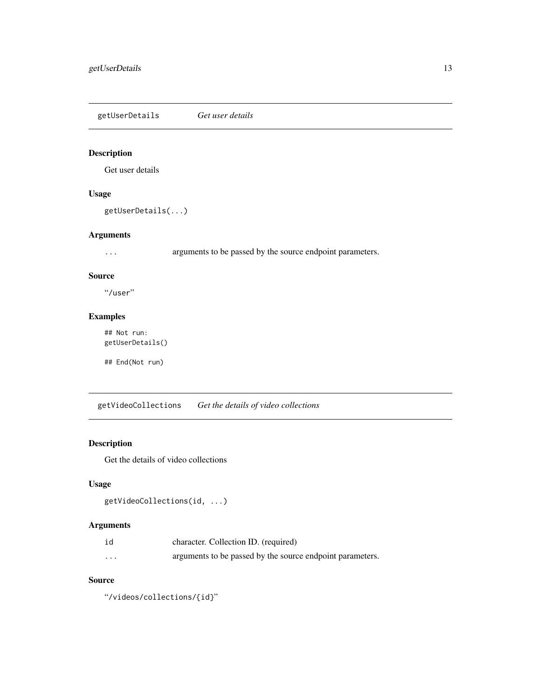<span id="page-12-0"></span>getUserDetails *Get user details*

# Description

Get user details

## Usage

getUserDetails(...)

#### Arguments

... arguments to be passed by the source endpoint parameters.

#### Source

"/user"

# Examples

## Not run: getUserDetails()

## End(Not run)

getVideoCollections *Get the details of video collections*

# Description

Get the details of video collections

## Usage

```
getVideoCollections(id, ...)
```
# Arguments

| id       | character. Collection ID. (required)                      |
|----------|-----------------------------------------------------------|
| $\cdots$ | arguments to be passed by the source endpoint parameters. |

#### Source

"/videos/collections/{id}"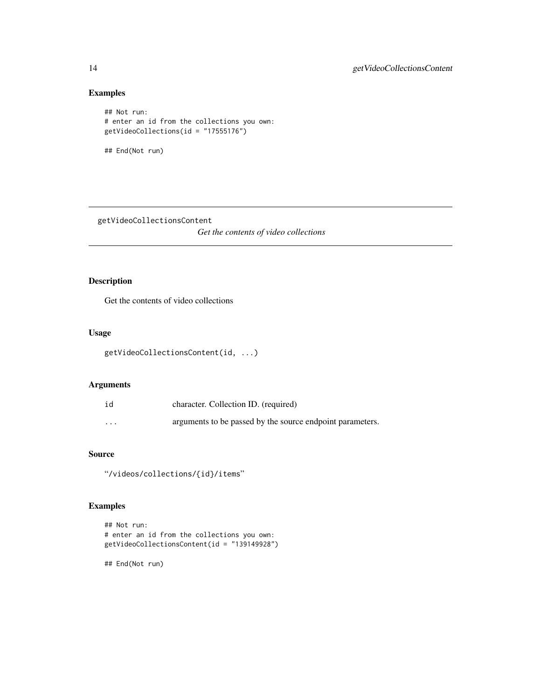# Examples

```
## Not run:
# enter an id from the collections you own:
getVideoCollections(id = "17555176")
## End(Not run)
```
getVideoCollectionsContent

*Get the contents of video collections*

## Description

Get the contents of video collections

#### Usage

```
getVideoCollectionsContent(id, ...)
```
#### Arguments

| id | character. Collection ID. (required)                      |
|----|-----------------------------------------------------------|
| .  | arguments to be passed by the source endpoint parameters. |

# Source

"/videos/collections/{id}/items"

# Examples

```
## Not run:
# enter an id from the collections you own:
getVideoCollectionsContent(id = "139149928")
```
## End(Not run)

<span id="page-13-0"></span>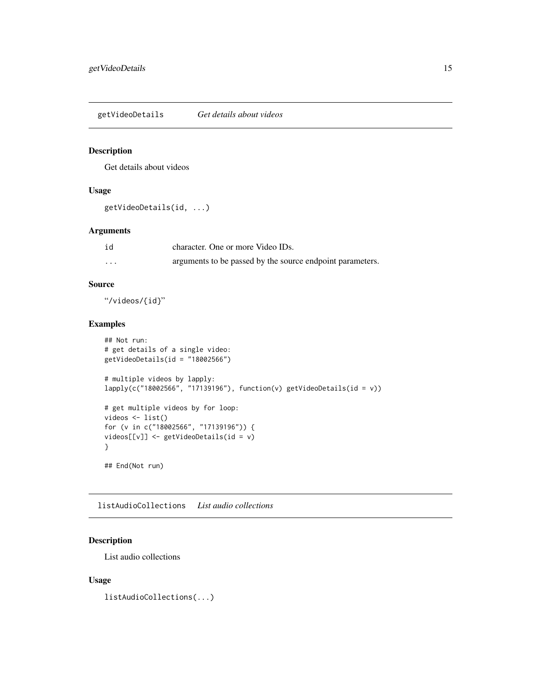<span id="page-14-0"></span>getVideoDetails *Get details about videos*

#### Description

Get details about videos

## Usage

getVideoDetails(id, ...)

## Arguments

| id       | character. One or more Video IDs.                         |
|----------|-----------------------------------------------------------|
| $\cdots$ | arguments to be passed by the source endpoint parameters. |

# Source

"/videos/{id}"

## Examples

```
## Not run:
# get details of a single video:
getVideoDetails(id = "18002566")
# multiple videos by lapply:
lapply(c("18002566", "17139196"), function(v) getVideoDetails(id = v))
# get multiple videos by for loop:
videos <- list()
for (v in c("18002566", "17139196")) {
videos[[v]] <- getVideoDetails(id = v)
}
## End(Not run)
```
listAudioCollections *List audio collections*

## Description

List audio collections

#### Usage

listAudioCollections(...)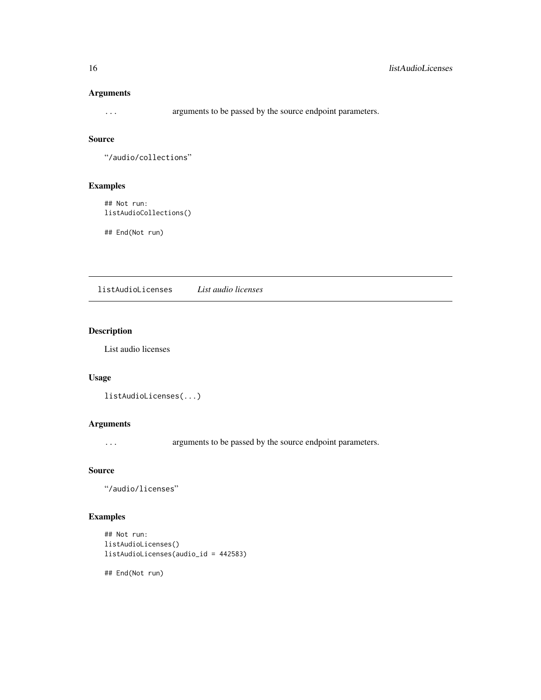# <span id="page-15-0"></span>Arguments

... arguments to be passed by the source endpoint parameters.

#### Source

"/audio/collections"

## Examples

## Not run: listAudioCollections()

## End(Not run)

listAudioLicenses *List audio licenses*

## Description

List audio licenses

## Usage

```
listAudioLicenses(...)
```
#### Arguments

... arguments to be passed by the source endpoint parameters.

#### Source

"/audio/licenses"

# Examples

```
## Not run:
listAudioLicenses()
listAudioLicenses(audio_id = 442583)
```
## End(Not run)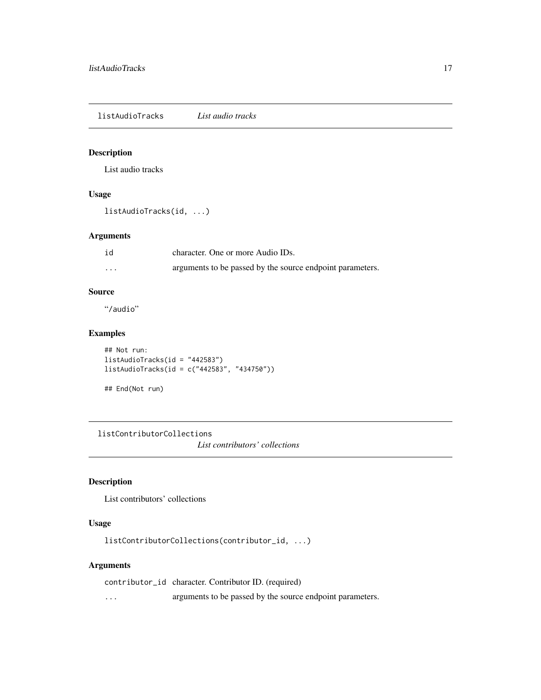<span id="page-16-0"></span>listAudioTracks *List audio tracks*

## Description

List audio tracks

# Usage

listAudioTracks(id, ...)

## Arguments

| id | character. One or more Audio IDs.                         |
|----|-----------------------------------------------------------|
| .  | arguments to be passed by the source endpoint parameters. |

#### Source

"/audio"

## Examples

```
## Not run:
listAudioTracks(id = "442583")
listAudioTracks(id = c("442583", "434750"))
```
## End(Not run)

listContributorCollections

*List contributors' collections*

## Description

List contributors' collections

## Usage

listContributorCollections(contributor\_id, ...)

#### Arguments

contributor\_id character. Contributor ID. (required) ... arguments to be passed by the source endpoint parameters.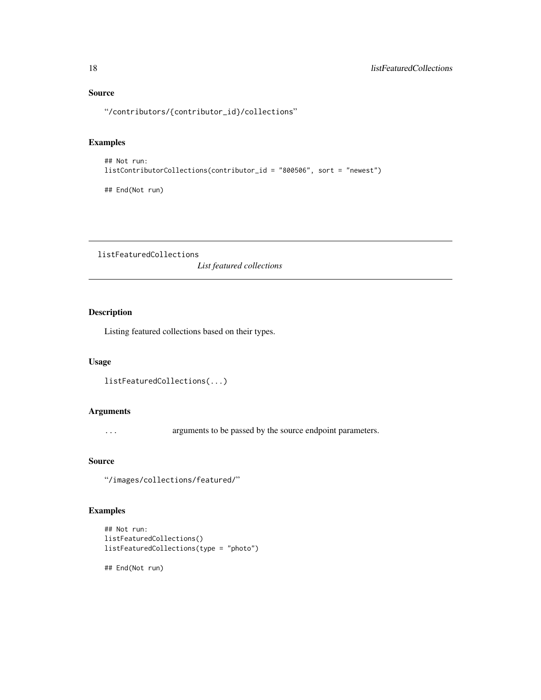# Source

"/contributors/{contributor\_id}/collections"

#### Examples

```
## Not run:
listContributorCollections(contributor_id = "800506", sort = "newest")
```
## End(Not run)

listFeaturedCollections

*List featured collections*

# Description

Listing featured collections based on their types.

#### Usage

```
listFeaturedCollections(...)
```
## Arguments

... arguments to be passed by the source endpoint parameters.

#### Source

"/images/collections/featured/"

# Examples

```
## Not run:
listFeaturedCollections()
listFeaturedCollections(type = "photo")
```
## End(Not run)

<span id="page-17-0"></span>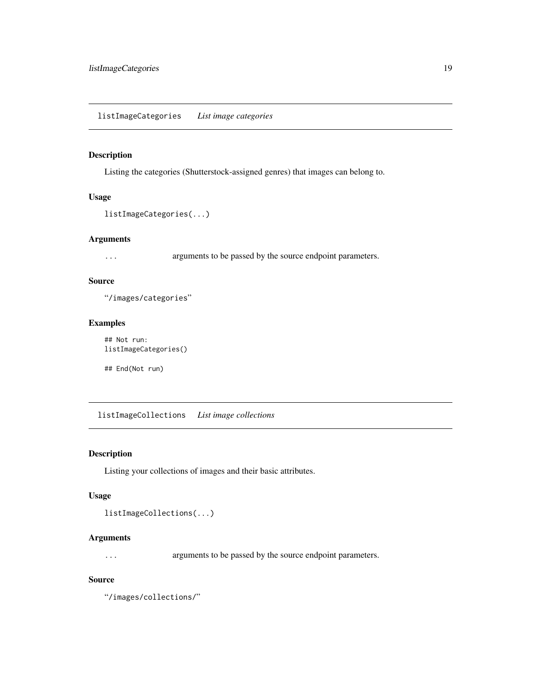## <span id="page-18-0"></span>Description

Listing the categories (Shutterstock-assigned genres) that images can belong to.

#### Usage

```
listImageCategories(...)
```
#### Arguments

... arguments to be passed by the source endpoint parameters.

#### Source

"/images/categories"

#### Examples

```
## Not run:
listImageCategories()
```
## End(Not run)

listImageCollections *List image collections*

## Description

Listing your collections of images and their basic attributes.

## Usage

```
listImageCollections(...)
```
#### Arguments

... arguments to be passed by the source endpoint parameters.

#### Source

"/images/collections/"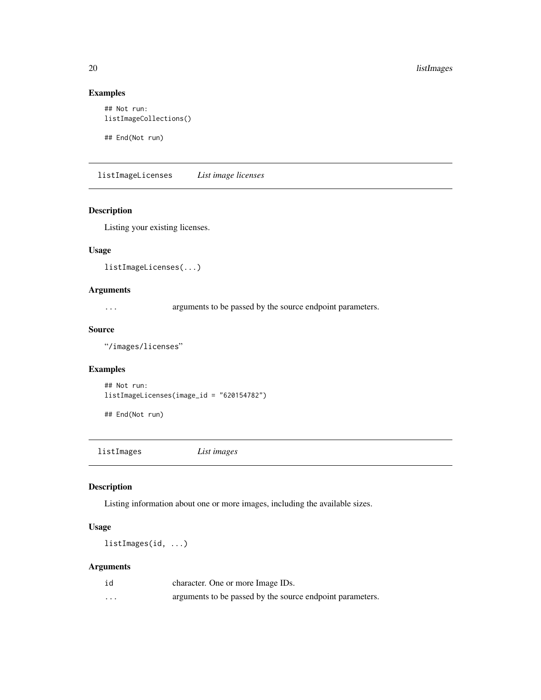#### Examples

```
## Not run:
listImageCollections()
```
## End(Not run)

listImageLicenses *List image licenses*

#### Description

Listing your existing licenses.

## Usage

listImageLicenses(...)

## Arguments

... arguments to be passed by the source endpoint parameters.

#### Source

"/images/licenses"

# Examples

```
## Not run:
listImageLicenses(image_id = "620154782")
```
## End(Not run)

listImages *List images*

## Description

Listing information about one or more images, including the available sizes.

#### Usage

listImages(id, ...)

## Arguments

| id       | character. One or more Image IDs.                         |
|----------|-----------------------------------------------------------|
| $\cdots$ | arguments to be passed by the source endpoint parameters. |

<span id="page-19-0"></span>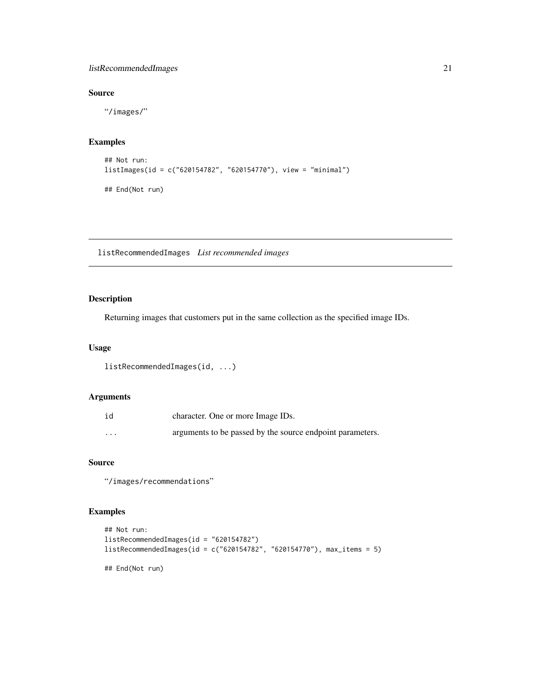## <span id="page-20-0"></span>listRecommendedImages 21

## Source

"/images/"

# Examples

```
## Not run:
listImages(id = c("620154782", "620154770"), view = "minimal")
## End(Not run)
```
listRecommendedImages *List recommended images*

## Description

Returning images that customers put in the same collection as the specified image IDs.

#### Usage

```
listRecommendedImages(id, ...)
```
## Arguments

| id       | character. One or more Image IDs.                         |
|----------|-----------------------------------------------------------|
| $\cdots$ | arguments to be passed by the source endpoint parameters. |

#### Source

"/images/recommendations"

#### Examples

```
## Not run:
listRecommendedImages(id = "620154782")
listRecommendedImages(id = c("620154782", "620154770"), max_items = 5)
## End(Not run)
```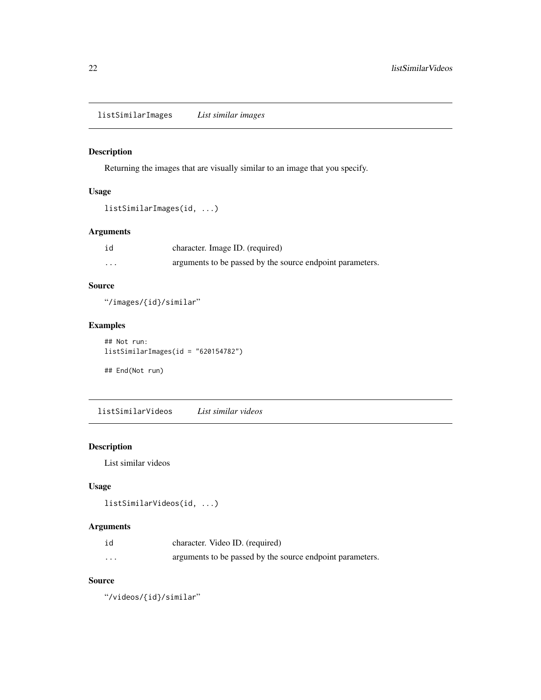<span id="page-21-0"></span>listSimilarImages *List similar images*

## Description

Returning the images that are visually similar to an image that you specify.

## Usage

```
listSimilarImages(id, ...)
```
## Arguments

| id       | character. Image ID. (required)                           |
|----------|-----------------------------------------------------------|
| $\cdots$ | arguments to be passed by the source endpoint parameters. |

## Source

"/images/{id}/similar"

## Examples

## Not run: listSimilarImages(id = "620154782") ## End(Not run)

listSimilarVideos *List similar videos*

## Description

List similar videos

# Usage

```
listSimilarVideos(id, ...)
```
#### Arguments

| id       | character. Video ID. (required)                           |
|----------|-----------------------------------------------------------|
| $\cdots$ | arguments to be passed by the source endpoint parameters. |

#### Source

"/videos/{id}/similar"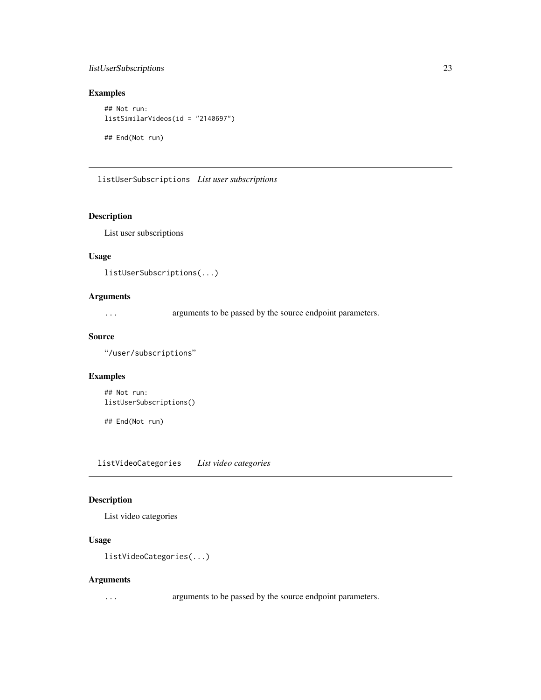## <span id="page-22-0"></span>listUserSubscriptions 23

## Examples

```
## Not run:
listSimilarVideos(id = "2140697")
```
## End(Not run)

listUserSubscriptions *List user subscriptions*

## Description

List user subscriptions

#### Usage

```
listUserSubscriptions(...)
```
## Arguments

... arguments to be passed by the source endpoint parameters.

#### Source

"/user/subscriptions"

## Examples

```
## Not run:
listUserSubscriptions()
```
## End(Not run)

listVideoCategories *List video categories*

## Description

List video categories

## Usage

```
listVideoCategories(...)
```
#### Arguments

... arguments to be passed by the source endpoint parameters.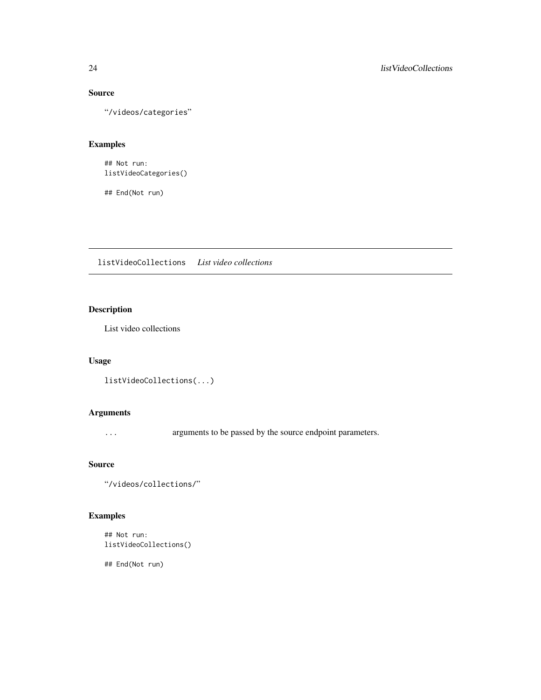# Source

"/videos/categories"

# Examples

## Not run: listVideoCategories()

## End(Not run)

listVideoCollections *List video collections*

# Description

List video collections

# Usage

```
listVideoCollections(...)
```
## Arguments

... arguments to be passed by the source endpoint parameters.

#### Source

```
"/videos/collections/"
```
# Examples

```
## Not run:
listVideoCollections()
```
## End(Not run)

<span id="page-23-0"></span>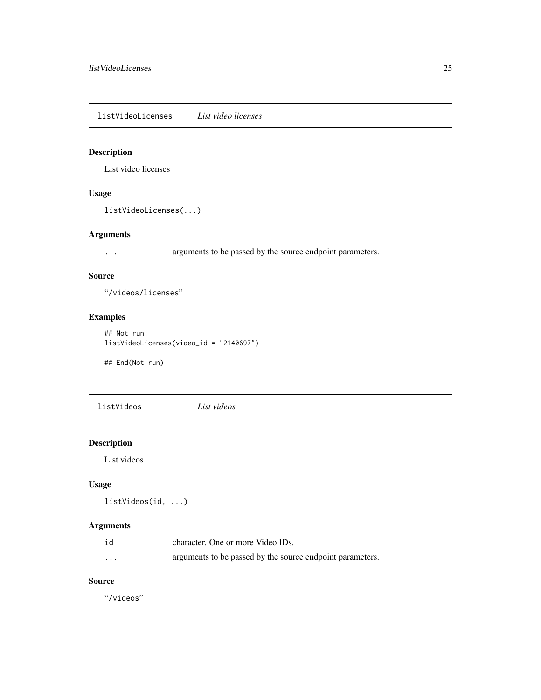<span id="page-24-0"></span>listVideoLicenses *List video licenses*

# Description

List video licenses

## Usage

listVideoLicenses(...)

## Arguments

... arguments to be passed by the source endpoint parameters.

#### Source

"/videos/licenses"

# Examples

```
## Not run:
listVideoLicenses(video_id = "2140697")
```
## End(Not run)

listVideos *List videos*

# Description

List videos

## Usage

```
listVideos(id, ...)
```
# Arguments

| id       | character. One or more Video IDs.                         |
|----------|-----------------------------------------------------------|
| $\cdots$ | arguments to be passed by the source endpoint parameters. |

## Source

"/videos"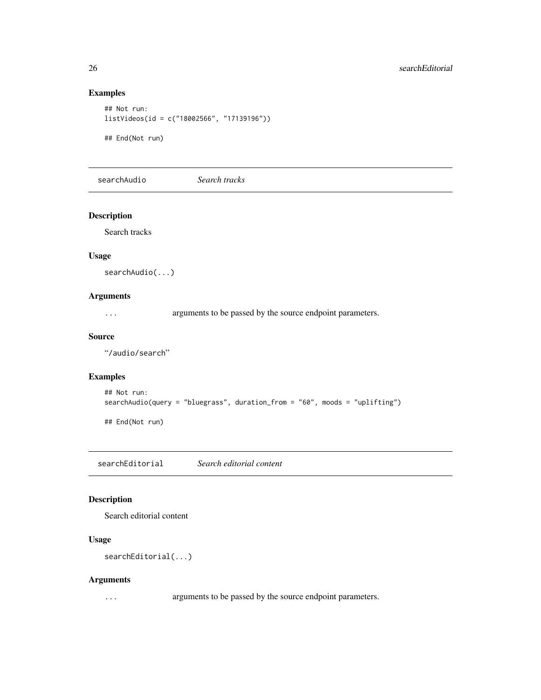## Examples

```
## Not run:
listVideos(id = c("18002566", "17139196"))
## End(Not run)
```
searchAudio *Search tracks*

## Description

Search tracks

## Usage

searchAudio(...)

## Arguments

... arguments to be passed by the source endpoint parameters.

#### Source

"/audio/search"

## Examples

```
## Not run:
searchAudio(query = "bluegrass", duration_from = "60", moods = "uplifting")
```
## End(Not run)

searchEditorial *Search editorial content*

## Description

Search editorial content

## Usage

searchEditorial(...)

#### Arguments

... arguments to be passed by the source endpoint parameters.

<span id="page-25-0"></span>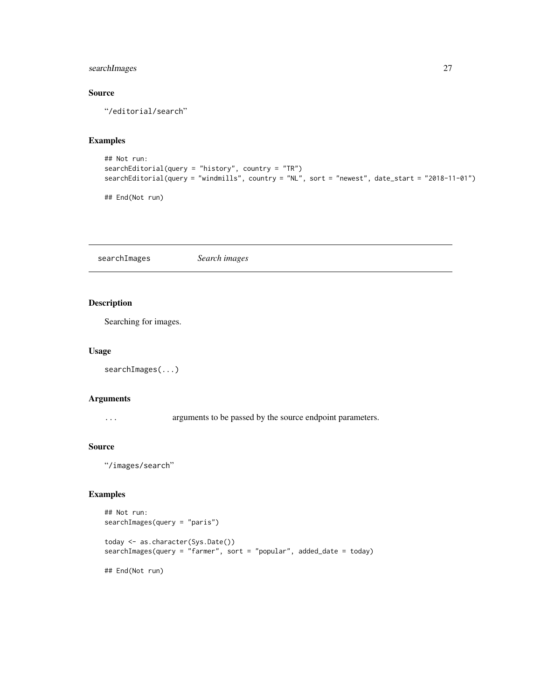## <span id="page-26-0"></span>searchImages 27

## Source

"/editorial/search"

# Examples

```
## Not run:
searchEditorial(query = "history", country = "TR")
searchEditorial(query = "windmills", country = "NL", sort = "newest", date_start = "2018-11-01")
```
## End(Not run)

searchImages *Search images*

#### Description

Searching for images.

#### Usage

```
searchImages(...)
```
## Arguments

... arguments to be passed by the source endpoint parameters.

#### Source

"/images/search"

## Examples

```
## Not run:
searchImages(query = "paris")
today <- as.character(Sys.Date())
searchImages(query = "farmer", sort = "popular", added_date = today)
## End(Not run)
```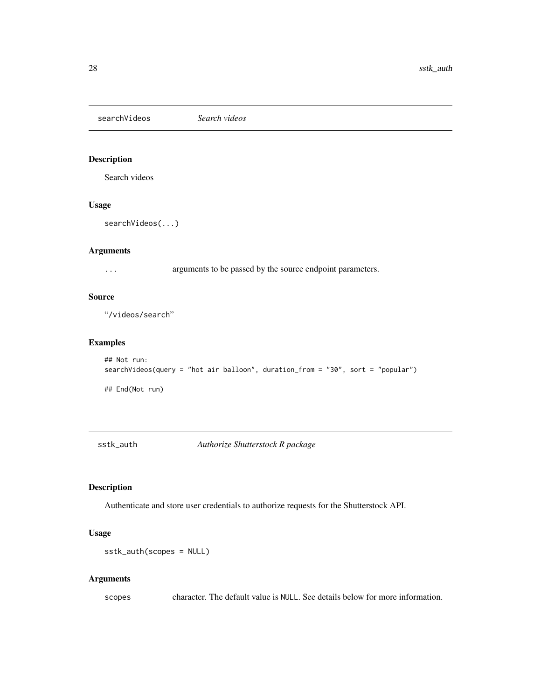<span id="page-27-0"></span>searchVideos *Search videos*

## Description

Search videos

#### Usage

```
searchVideos(...)
```
#### Arguments

... arguments to be passed by the source endpoint parameters.

## Source

"/videos/search"

## Examples

```
## Not run:
searchVideos(query = "hot air balloon", duration_from = "30", sort = "popular")
## End(Not run)
```
sstk\_auth *Authorize Shutterstock R package*

## Description

Authenticate and store user credentials to authorize requests for the Shutterstock API.

#### Usage

```
sstk_auth(scopes = NULL)
```
#### Arguments

scopes character. The default value is NULL. See details below for more information.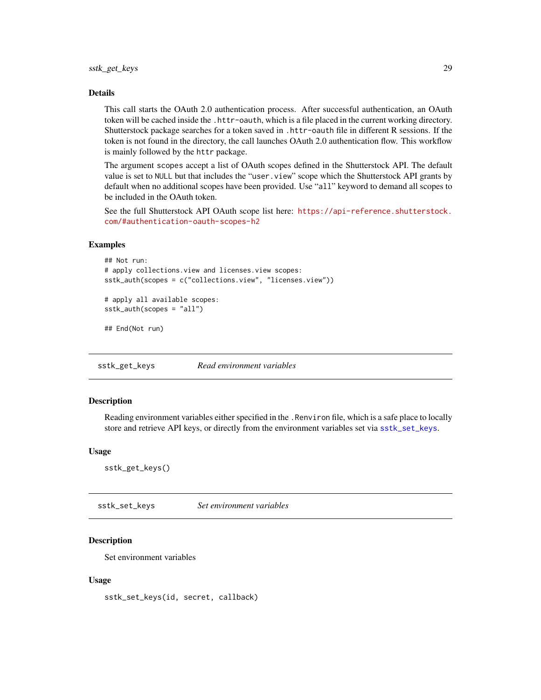#### <span id="page-28-0"></span>Details

This call starts the OAuth 2.0 authentication process. After successful authentication, an OAuth token will be cached inside the .httr-oauth, which is a file placed in the current working directory. Shutterstock package searches for a token saved in .httr-oauth file in different R sessions. If the token is not found in the directory, the call launches OAuth 2.0 authentication flow. This workflow is mainly followed by the httr package.

The argument scopes accept a list of OAuth scopes defined in the Shutterstock API. The default value is set to NULL but that includes the "user.view" scope which the Shutterstock API grants by default when no additional scopes have been provided. Use "all" keyword to demand all scopes to be included in the OAuth token.

See the full Shutterstock API OAuth scope list here: [https://api-reference.shutterstock.](https://api-reference.shutterstock.com/#authentication-oauth-scopes-h2) [com/#authentication-oauth-scopes-h2](https://api-reference.shutterstock.com/#authentication-oauth-scopes-h2)

#### Examples

```
## Not run:
# apply collections.view and licenses.view scopes:
sstk_auth(scopes = c("collections.view", "licenses.view"))
```

```
# apply all available scopes:
sstk_auth(scopes = "all")
```
## End(Not run)

sstk\_get\_keys *Read environment variables*

#### Description

Reading environment variables either specified in the .Renviron file, which is a safe place to locally store and retrieve API keys, or directly from the environment variables set via [sstk\\_set\\_keys](#page-28-1).

#### Usage

sstk\_get\_keys()

<span id="page-28-1"></span>sstk\_set\_keys *Set environment variables*

#### **Description**

Set environment variables

#### Usage

sstk\_set\_keys(id, secret, callback)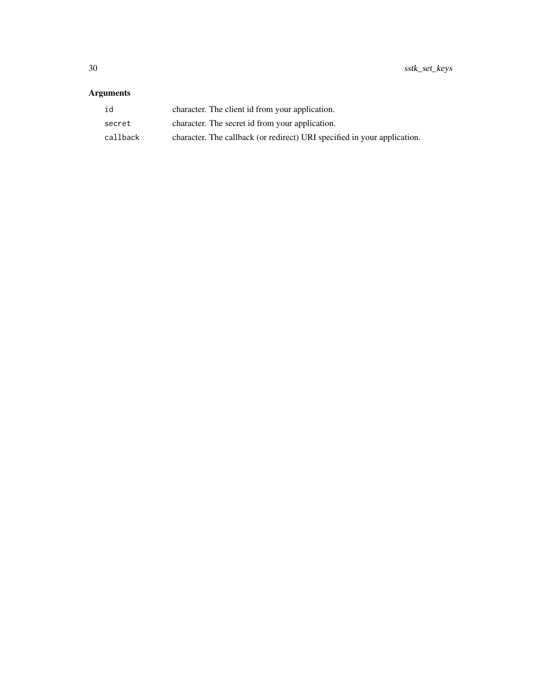# Arguments

| id       | character. The client id from your application.                          |
|----------|--------------------------------------------------------------------------|
| secret   | character. The secret id from your application.                          |
| callback | character. The callback (or redirect) URI specified in your application. |